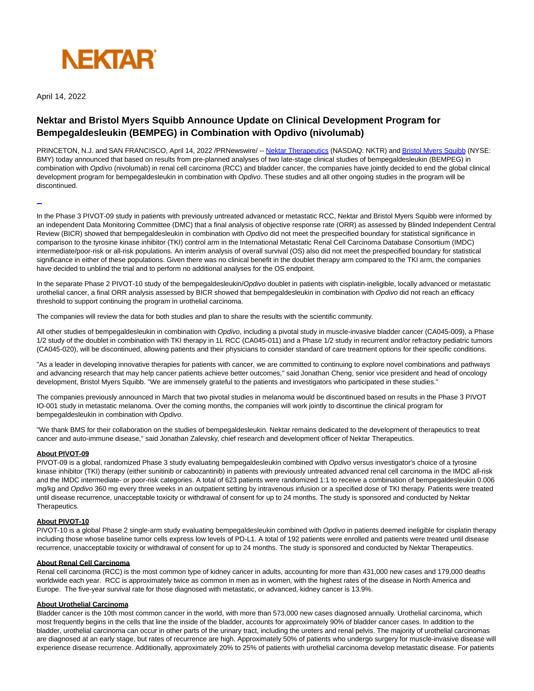

April 14, 2022

# **Nektar and Bristol Myers Squibb Announce Update on Clinical Development Program for Bempegaldesleukin (BEMPEG) in Combination with Opdivo (nivolumab)**

PRINCETON, N.J. and SAN FRANCISCO, April 14, 2022 /PRNewswire/ -[- Nektar Therapeutics \(](https://c212.net/c/link/?t=0&l=en&o=3506143-1&h=3290706337&u=https%3A%2F%2Fwww.nektar.com%2F&a=Nektar+Therapeutics)NASDAQ: NKTR) an[d Bristol Myers Squibb \(](https://c212.net/c/link/?t=0&l=en&o=3506143-1&h=2770899374&u=http%3A%2F%2Fwww.bms.com%2F&a=Bristol+Myers+Squibb)NYSE: BMY) today announced that based on results from pre-planned analyses of two late-stage clinical studies of bempegaldesleukin (BEMPEG) in combination with Opdivo (nivolumab) in renal cell carcinoma (RCC) and bladder cancer, the companies have jointly decided to end the global clinical development program for bempegaldesleukin in combination with Opdivo. These studies and all other ongoing studies in the program will be discontinued.

L

In the Phase 3 PIVOT-09 study in patients with previously untreated advanced or metastatic RCC, Nektar and Bristol Myers Squibb were informed by an independent Data Monitoring Committee (DMC) that a final analysis of objective response rate (ORR) as assessed by Blinded Independent Central Review (BICR) showed that bempegaldesleukin in combination with Opdivo did not meet the prespecified boundary for statistical significance in comparison to the tyrosine kinase inhibitor (TKI) control arm in the International Metastatic Renal Cell Carcinoma Database Consortium (IMDC) intermediate/poor-risk or all-risk populations. An interim analysis of overall survival (OS) also did not meet the prespecified boundary for statistical significance in either of these populations. Given there was no clinical benefit in the doublet therapy arm compared to the TKI arm, the companies have decided to unblind the trial and to perform no additional analyses for the OS endpoint.

In the separate Phase 2 PIVOT-10 study of the bempegaldesleukin/Opdivo doublet in patients with cisplatin-ineligible, locally advanced or metastatic urothelial cancer, a final ORR analysis assessed by BICR showed that bempegaldesleukin in combination with Opdivo did not reach an efficacy threshold to support continuing the program in urothelial carcinoma.

The companies will review the data for both studies and plan to share the results with the scientific community.

All other studies of bempegaldesleukin in combination with Opdivo, including a pivotal study in muscle-invasive bladder cancer (CA045-009), a Phase 1/2 study of the doublet in combination with TKI therapy in 1L RCC (CA045-011) and a Phase 1/2 study in recurrent and/or refractory pediatric tumors (CA045-020), will be discontinued, allowing patients and their physicians to consider standard of care treatment options for their specific conditions.

"As a leader in developing innovative therapies for patients with cancer, we are committed to continuing to explore novel combinations and pathways and advancing research that may help cancer patients achieve better outcomes," said Jonathan Cheng, senior vice president and head of oncology development, Bristol Myers Squibb. "We are immensely grateful to the patients and investigators who participated in these studies."

The companies previously announced in March that two pivotal studies in melanoma would be discontinued based on results in the Phase 3 PIVOT IO-001 study in metastatic melanoma. Over the coming months, the companies will work jointly to discontinue the clinical program for bempegaldesleukin in combination with Opdivo.

"We thank BMS for their collaboration on the studies of bempegaldesleukin. Nektar remains dedicated to the development of therapeutics to treat cancer and auto-immune disease," said Jonathan Zalevsky, chief research and development officer of Nektar Therapeutics.

## **About PIVOT-09**

PIVOT-09 is a global, randomized Phase 3 study evaluating bempegaldesleukin combined with Opdivo versus investigator's choice of a tyrosine kinase inhibitor (TKI) therapy (either sunitinib or cabozantinib) in patients with previously untreated advanced renal cell carcinoma in the IMDC all-risk and the IMDC intermediate- or poor-risk categories. A total of 623 patients were randomized 1:1 to receive a combination of bempegaldesleukin 0.006 mg/kg and Opdivo 360 mg every three weeks in an outpatient setting by intravenous infusion or a specified dose of TKI therapy. Patients were treated until disease recurrence, unacceptable toxicity or withdrawal of consent for up to 24 months. The study is sponsored and conducted by Nektar Therapeutics.

## **About PIVOT-10**

PIVOT-10 is a global Phase 2 single-arm study evaluating bempegaldesleukin combined with Opdivo in patients deemed ineligible for cisplatin therapy including those whose baseline tumor cells express low levels of PD-L1. A total of 192 patients were enrolled and patients were treated until disease recurrence, unacceptable toxicity or withdrawal of consent for up to 24 months. The study is sponsored and conducted by Nektar Therapeutics.

## **About Renal Cell Carcinoma**

Renal cell carcinoma (RCC) is the most common type of kidney cancer in adults, accounting for more than 431,000 new cases and 179,000 deaths worldwide each year. RCC is approximately twice as common in men as in women, with the highest rates of the disease in North America and Europe. The five-year survival rate for those diagnosed with metastatic, or advanced, kidney cancer is 13.9%.

# **About Urothelial Carcinoma**

Bladder cancer is the 10th most common cancer in the world, with more than 573,000 new cases diagnosed annually. Urothelial carcinoma, which most frequently begins in the cells that line the inside of the bladder, accounts for approximately 90% of bladder cancer cases. In addition to the bladder, urothelial carcinoma can occur in other parts of the urinary tract, including the ureters and renal pelvis. The majority of urothelial carcinomas are diagnosed at an early stage, but rates of recurrence are high. Approximately 50% of patients who undergo surgery for muscle-invasive disease will experience disease recurrence. Additionally, approximately 20% to 25% of patients with urothelial carcinoma develop metastatic disease. For patients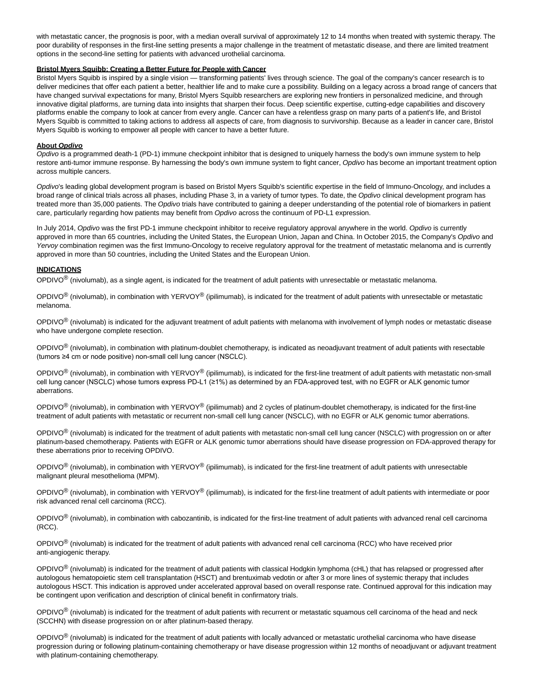with metastatic cancer, the prognosis is poor, with a median overall survival of approximately 12 to 14 months when treated with systemic therapy. The poor durability of responses in the first-line setting presents a major challenge in the treatment of metastatic disease, and there are limited treatment options in the second-line setting for patients with advanced urothelial carcinoma.

## **Bristol Myers Squibb: Creating a Better Future for People with Cancer**

Bristol Myers Squibb is inspired by a single vision — transforming patients' lives through science. The goal of the company's cancer research is to deliver medicines that offer each patient a better, healthier life and to make cure a possibility. Building on a legacy across a broad range of cancers that have changed survival expectations for many, Bristol Myers Squibb researchers are exploring new frontiers in personalized medicine, and through innovative digital platforms, are turning data into insights that sharpen their focus. Deep scientific expertise, cutting-edge capabilities and discovery platforms enable the company to look at cancer from every angle. Cancer can have a relentless grasp on many parts of a patient's life, and Bristol Myers Squibb is committed to taking actions to address all aspects of care, from diagnosis to survivorship. Because as a leader in cancer care, Bristol Myers Squibb is working to empower all people with cancer to have a better future.

#### **About Opdivo**

Opdivo is a programmed death-1 (PD-1) immune checkpoint inhibitor that is designed to uniquely harness the body's own immune system to help restore anti-tumor immune response. By harnessing the body's own immune system to fight cancer, Opdivo has become an important treatment option across multiple cancers.

Opdivo's leading global development program is based on Bristol Myers Squibb's scientific expertise in the field of Immuno-Oncology, and includes a broad range of clinical trials across all phases, including Phase 3, in a variety of tumor types. To date, the Opdivo clinical development program has treated more than 35,000 patients. The Opdivo trials have contributed to gaining a deeper understanding of the potential role of biomarkers in patient care, particularly regarding how patients may benefit from Opdivo across the continuum of PD-L1 expression.

In July 2014, Opdivo was the first PD-1 immune checkpoint inhibitor to receive regulatory approval anywhere in the world. Opdivo is currently approved in more than 65 countries, including the United States, the European Union, Japan and China. In October 2015, the Company's Opdivo and Yervoy combination regimen was the first Immuno-Oncology to receive regulatory approval for the treatment of metastatic melanoma and is currently approved in more than 50 countries, including the United States and the European Union.

## **INDICATIONS**

OPDIVO<sup>®</sup> (nivolumab), as a single agent, is indicated for the treatment of adult patients with unresectable or metastatic melanoma.

OPDIVO<sup>®</sup> (nivolumab), in combination with YERVOY<sup>®</sup> (ipilimumab), is indicated for the treatment of adult patients with unresectable or metastatic melanoma.

 $OPDIVO<sup>®</sup>$  (nivolumab) is indicated for the adjuvant treatment of adult patients with melanoma with involvement of lymph nodes or metastatic disease who have undergone complete resection.

 $OPDIVO<sup>®</sup>$  (nivolumab), in combination with platinum-doublet chemotherapy, is indicated as neoadjuvant treatment of adult patients with resectable (tumors ≥4 cm or node positive) non-small cell lung cancer (NSCLC).

 $OPDIVO<sup>®</sup>$  (nivolumab), in combination with YERVOY<sup>®</sup> (ipilimumab), is indicated for the first-line treatment of adult patients with metastatic non-small cell lung cancer (NSCLC) whose tumors express PD-L1 (≥1%) as determined by an FDA-approved test, with no EGFR or ALK genomic tumor aberrations.

OPDIVO<sup>®</sup> (nivolumab), in combination with YERVOY<sup>®</sup> (ipilimumab) and 2 cycles of platinum-doublet chemotherapy, is indicated for the first-line treatment of adult patients with metastatic or recurrent non-small cell lung cancer (NSCLC), with no EGFR or ALK genomic tumor aberrations.

OPDIVO<sup>®</sup> (nivolumab) is indicated for the treatment of adult patients with metastatic non-small cell lung cancer (NSCLC) with progression on or after platinum-based chemotherapy. Patients with EGFR or ALK genomic tumor aberrations should have disease progression on FDA-approved therapy for these aberrations prior to receiving OPDIVO.

OPDIVO<sup>®</sup> (nivolumab), in combination with YERVOY<sup>®</sup> (ipilimumab), is indicated for the first-line treatment of adult patients with unresectable malignant pleural mesothelioma (MPM).

OPDIVO<sup>®</sup> (nivolumab), in combination with YERVOY<sup>®</sup> (ipilimumab), is indicated for the first-line treatment of adult patients with intermediate or poor risk advanced renal cell carcinoma (RCC).

 $OPDIVO<sup>®</sup>$  (nivolumab), in combination with cabozantinib, is indicated for the first-line treatment of adult patients with advanced renal cell carcinoma (RCC).

 $OPDIVO<sup>®</sup>$  (nivolumab) is indicated for the treatment of adult patients with advanced renal cell carcinoma (RCC) who have received prior anti-angiogenic therapy.

OPDIVO<sup>®</sup> (nivolumab) is indicated for the treatment of adult patients with classical Hodgkin lymphoma (cHL) that has relapsed or progressed after autologous hematopoietic stem cell transplantation (HSCT) and brentuximab vedotin or after 3 or more lines of systemic therapy that includes autologous HSCT. This indication is approved under accelerated approval based on overall response rate. Continued approval for this indication may be contingent upon verification and description of clinical benefit in confirmatory trials.

 $OPDIVO<sup>®</sup>$  (nivolumab) is indicated for the treatment of adult patients with recurrent or metastatic squamous cell carcinoma of the head and neck (SCCHN) with disease progression on or after platinum-based therapy.

OPDIVO<sup>®</sup> (nivolumab) is indicated for the treatment of adult patients with locally advanced or metastatic urothelial carcinoma who have disease progression during or following platinum-containing chemotherapy or have disease progression within 12 months of neoadjuvant or adjuvant treatment with platinum-containing chemotherapy.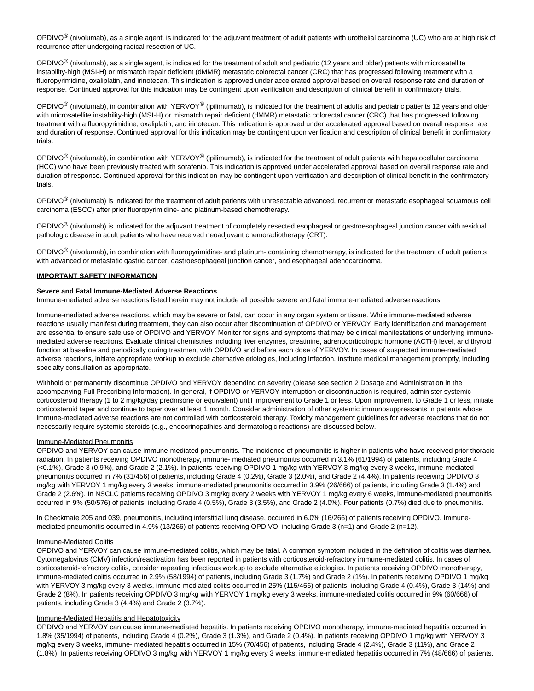OPDIVO<sup>®</sup> (nivolumab), as a single agent, is indicated for the adjuvant treatment of adult patients with urothelial carcinoma (UC) who are at high risk of recurrence after undergoing radical resection of UC.

OPDIVO<sup>®</sup> (nivolumab), as a single agent, is indicated for the treatment of adult and pediatric (12 years and older) patients with microsatellite instability-high (MSI-H) or mismatch repair deficient (dMMR) metastatic colorectal cancer (CRC) that has progressed following treatment with a fluoropyrimidine, oxaliplatin, and irinotecan. This indication is approved under accelerated approval based on overall response rate and duration of response. Continued approval for this indication may be contingent upon verification and description of clinical benefit in confirmatory trials.

OPDIVO<sup>®</sup> (nivolumab), in combination with YERVOY<sup>®</sup> (ipilimumab), is indicated for the treatment of adults and pediatric patients 12 years and older with microsatellite instability-high (MSI-H) or mismatch repair deficient (dMMR) metastatic colorectal cancer (CRC) that has progressed following treatment with a fluoropyrimidine, oxaliplatin, and irinotecan. This indication is approved under accelerated approval based on overall response rate and duration of response. Continued approval for this indication may be contingent upon verification and description of clinical benefit in confirmatory trials.

OPDIVO<sup>®</sup> (nivolumab), in combination with YERVOY<sup>®</sup> (ipilimumab), is indicated for the treatment of adult patients with hepatocellular carcinoma (HCC) who have been previously treated with sorafenib. This indication is approved under accelerated approval based on overall response rate and duration of response. Continued approval for this indication may be contingent upon verification and description of clinical benefit in the confirmatory trials.

 $OPDIVO<sup>®</sup>$  (nivolumab) is indicated for the treatment of adult patients with unresectable advanced, recurrent or metastatic esophageal squamous cell carcinoma (ESCC) after prior fluoropyrimidine- and platinum-based chemotherapy.

 $OPDIVO<sup>®</sup>$  (nivolumab) is indicated for the adjuvant treatment of completely resected esophageal or gastroesophageal junction cancer with residual pathologic disease in adult patients who have received neoadjuvant chemoradiotherapy (CRT).

OPDIVO<sup>®</sup> (nivolumab), in combination with fluoropyrimidine- and platinum- containing chemotherapy, is indicated for the treatment of adult patients with advanced or metastatic gastric cancer, gastroesophageal junction cancer, and esophageal adenocarcinoma.

## **IMPORTANT SAFETY INFORMATION**

## **Severe and Fatal Immune-Mediated Adverse Reactions**

Immune-mediated adverse reactions listed herein may not include all possible severe and fatal immune-mediated adverse reactions.

Immune-mediated adverse reactions, which may be severe or fatal, can occur in any organ system or tissue. While immune-mediated adverse reactions usually manifest during treatment, they can also occur after discontinuation of OPDIVO or YERVOY. Early identification and management are essential to ensure safe use of OPDIVO and YERVOY. Monitor for signs and symptoms that may be clinical manifestations of underlying immunemediated adverse reactions. Evaluate clinical chemistries including liver enzymes, creatinine, adrenocorticotropic hormone (ACTH) level, and thyroid function at baseline and periodically during treatment with OPDIVO and before each dose of YERVOY. In cases of suspected immune-mediated adverse reactions, initiate appropriate workup to exclude alternative etiologies, including infection. Institute medical management promptly, including specialty consultation as appropriate.

Withhold or permanently discontinue OPDIVO and YERVOY depending on severity (please see section 2 Dosage and Administration in the accompanying Full Prescribing Information). In general, if OPDIVO or YERVOY interruption or discontinuation is required, administer systemic corticosteroid therapy (1 to 2 mg/kg/day prednisone or equivalent) until improvement to Grade 1 or less. Upon improvement to Grade 1 or less, initiate corticosteroid taper and continue to taper over at least 1 month. Consider administration of other systemic immunosuppressants in patients whose immune-mediated adverse reactions are not controlled with corticosteroid therapy. Toxicity management guidelines for adverse reactions that do not necessarily require systemic steroids (e.g., endocrinopathies and dermatologic reactions) are discussed below.

### Immune-Mediated Pneumonitis

OPDIVO and YERVOY can cause immune-mediated pneumonitis. The incidence of pneumonitis is higher in patients who have received prior thoracic radiation. In patients receiving OPDIVO monotherapy, immune- mediated pneumonitis occurred in 3.1% (61/1994) of patients, including Grade 4 (<0.1%), Grade 3 (0.9%), and Grade 2 (2.1%). In patients receiving OPDIVO 1 mg/kg with YERVOY 3 mg/kg every 3 weeks, immune-mediated pneumonitis occurred in 7% (31/456) of patients, including Grade 4 (0.2%), Grade 3 (2.0%), and Grade 2 (4.4%). In patients receiving OPDIVO 3 mg/kg with YERVOY 1 mg/kg every 3 weeks, immune-mediated pneumonitis occurred in 3.9% (26/666) of patients, including Grade 3 (1.4%) and Grade 2 (2.6%). In NSCLC patients receiving OPDIVO 3 mg/kg every 2 weeks with YERVOY 1 mg/kg every 6 weeks, immune-mediated pneumonitis occurred in 9% (50/576) of patients, including Grade 4 (0.5%), Grade 3 (3.5%), and Grade 2 (4.0%). Four patients (0.7%) died due to pneumonitis.

In Checkmate 205 and 039, pneumonitis, including interstitial lung disease, occurred in 6.0% (16/266) of patients receiving OPDIVO. Immunemediated pneumonitis occurred in 4.9% (13/266) of patients receiving OPDIVO, including Grade 3 (n=1) and Grade 2 (n=12).

## Immune-Mediated Colitis

OPDIVO and YERVOY can cause immune-mediated colitis, which may be fatal. A common symptom included in the definition of colitis was diarrhea. Cytomegalovirus (CMV) infection/reactivation has been reported in patients with corticosteroid-refractory immune-mediated colitis. In cases of corticosteroid-refractory colitis, consider repeating infectious workup to exclude alternative etiologies. In patients receiving OPDIVO monotherapy, immune-mediated colitis occurred in 2.9% (58/1994) of patients, including Grade 3 (1.7%) and Grade 2 (1%). In patients receiving OPDIVO 1 mg/kg with YERVOY 3 mg/kg every 3 weeks, immune-mediated colitis occurred in 25% (115/456) of patients, including Grade 4 (0.4%), Grade 3 (14%) and Grade 2 (8%). In patients receiving OPDIVO 3 mg/kg with YERVOY 1 mg/kg every 3 weeks, immune-mediated colitis occurred in 9% (60/666) of patients, including Grade 3 (4.4%) and Grade 2 (3.7%).

## Immune-Mediated Hepatitis and Hepatotoxicity

OPDIVO and YERVOY can cause immune-mediated hepatitis. In patients receiving OPDIVO monotherapy, immune-mediated hepatitis occurred in 1.8% (35/1994) of patients, including Grade 4 (0.2%), Grade 3 (1.3%), and Grade 2 (0.4%). In patients receiving OPDIVO 1 mg/kg with YERVOY 3 mg/kg every 3 weeks, immune- mediated hepatitis occurred in 15% (70/456) of patients, including Grade 4 (2.4%), Grade 3 (11%), and Grade 2 (1.8%). In patients receiving OPDIVO 3 mg/kg with YERVOY 1 mg/kg every 3 weeks, immune-mediated hepatitis occurred in 7% (48/666) of patients,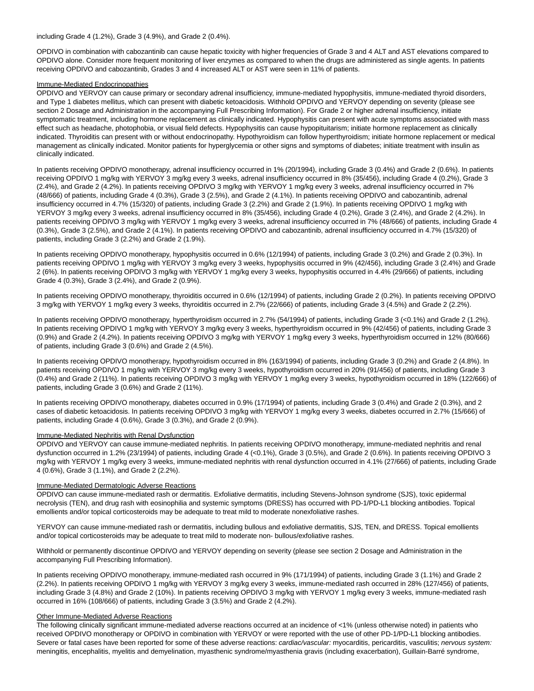including Grade 4 (1.2%), Grade 3 (4.9%), and Grade 2 (0.4%).

OPDIVO in combination with cabozantinib can cause hepatic toxicity with higher frequencies of Grade 3 and 4 ALT and AST elevations compared to OPDIVO alone. Consider more frequent monitoring of liver enzymes as compared to when the drugs are administered as single agents. In patients receiving OPDIVO and cabozantinib, Grades 3 and 4 increased ALT or AST were seen in 11% of patients.

## Immune-Mediated Endocrinopathies

OPDIVO and YERVOY can cause primary or secondary adrenal insufficiency, immune-mediated hypophysitis, immune-mediated thyroid disorders, and Type 1 diabetes mellitus, which can present with diabetic ketoacidosis. Withhold OPDIVO and YERVOY depending on severity (please see section 2 Dosage and Administration in the accompanying Full Prescribing Information). For Grade 2 or higher adrenal insufficiency, initiate symptomatic treatment, including hormone replacement as clinically indicated. Hypophysitis can present with acute symptoms associated with mass effect such as headache, photophobia, or visual field defects. Hypophysitis can cause hypopituitarism; initiate hormone replacement as clinically indicated. Thyroiditis can present with or without endocrinopathy. Hypothyroidism can follow hyperthyroidism; initiate hormone replacement or medical management as clinically indicated. Monitor patients for hyperglycemia or other signs and symptoms of diabetes; initiate treatment with insulin as clinically indicated.

In patients receiving OPDIVO monotherapy, adrenal insufficiency occurred in 1% (20/1994), including Grade 3 (0.4%) and Grade 2 (0.6%). In patients receiving OPDIVO 1 mg/kg with YERVOY 3 mg/kg every 3 weeks, adrenal insufficiency occurred in 8% (35/456), including Grade 4 (0.2%), Grade 3 (2.4%), and Grade 2 (4.2%). In patients receiving OPDIVO 3 mg/kg with YERVOY 1 mg/kg every 3 weeks, adrenal insufficiency occurred in 7% (48/666) of patients, including Grade 4 (0.3%), Grade 3 (2.5%), and Grade 2 (4.1%). In patients receiving OPDIVO and cabozantinib, adrenal insufficiency occurred in 4.7% (15/320) of patients, including Grade 3 (2.2%) and Grade 2 (1.9%). In patients receiving OPDIVO 1 mg/kg with YERVOY 3 mg/kg every 3 weeks, adrenal insufficiency occurred in 8% (35/456), including Grade 4 (0.2%), Grade 3 (2.4%), and Grade 2 (4.2%). In patients receiving OPDIVO 3 mg/kg with YERVOY 1 mg/kg every 3 weeks, adrenal insufficiency occurred in 7% (48/666) of patients, including Grade 4 (0.3%), Grade 3 (2.5%), and Grade 2 (4.1%). In patients receiving OPDIVO and cabozantinib, adrenal insufficiency occurred in 4.7% (15/320) of patients, including Grade 3 (2.2%) and Grade 2 (1.9%).

In patients receiving OPDIVO monotherapy, hypophysitis occurred in 0.6% (12/1994) of patients, including Grade 3 (0.2%) and Grade 2 (0.3%). In patients receiving OPDIVO 1 mg/kg with YERVOY 3 mg/kg every 3 weeks, hypophysitis occurred in 9% (42/456), including Grade 3 (2.4%) and Grade 2 (6%). In patients receiving OPDIVO 3 mg/kg with YERVOY 1 mg/kg every 3 weeks, hypophysitis occurred in 4.4% (29/666) of patients, including Grade 4 (0.3%), Grade 3 (2.4%), and Grade 2 (0.9%).

In patients receiving OPDIVO monotherapy, thyroiditis occurred in 0.6% (12/1994) of patients, including Grade 2 (0.2%). In patients receiving OPDIVO 3 mg/kg with YERVOY 1 mg/kg every 3 weeks, thyroiditis occurred in 2.7% (22/666) of patients, including Grade 3 (4.5%) and Grade 2 (2.2%).

In patients receiving OPDIVO monotherapy, hyperthyroidism occurred in 2.7% (54/1994) of patients, including Grade 3 (<0.1%) and Grade 2 (1.2%). In patients receiving OPDIVO 1 mg/kg with YERVOY 3 mg/kg every 3 weeks, hyperthyroidism occurred in 9% (42/456) of patients, including Grade 3 (0.9%) and Grade 2 (4.2%). In patients receiving OPDIVO 3 mg/kg with YERVOY 1 mg/kg every 3 weeks, hyperthyroidism occurred in 12% (80/666) of patients, including Grade 3 (0.6%) and Grade 2 (4.5%).

In patients receiving OPDIVO monotherapy, hypothyroidism occurred in 8% (163/1994) of patients, including Grade 3 (0.2%) and Grade 2 (4.8%). In patients receiving OPDIVO 1 mg/kg with YERVOY 3 mg/kg every 3 weeks, hypothyroidism occurred in 20% (91/456) of patients, including Grade 3 (0.4%) and Grade 2 (11%). In patients receiving OPDIVO 3 mg/kg with YERVOY 1 mg/kg every 3 weeks, hypothyroidism occurred in 18% (122/666) of patients, including Grade 3 (0.6%) and Grade 2 (11%).

In patients receiving OPDIVO monotherapy, diabetes occurred in 0.9% (17/1994) of patients, including Grade 3 (0.4%) and Grade 2 (0.3%), and 2 cases of diabetic ketoacidosis. In patients receiving OPDIVO 3 mg/kg with YERVOY 1 mg/kg every 3 weeks, diabetes occurred in 2.7% (15/666) of patients, including Grade 4 (0.6%), Grade 3 (0.3%), and Grade 2 (0.9%).

## Immune-Mediated Nephritis with Renal Dysfunction

OPDIVO and YERVOY can cause immune-mediated nephritis. In patients receiving OPDIVO monotherapy, immune-mediated nephritis and renal dysfunction occurred in 1.2% (23/1994) of patients, including Grade 4 (<0.1%), Grade 3 (0.5%), and Grade 2 (0.6%). In patients receiving OPDIVO 3 mg/kg with YERVOY 1 mg/kg every 3 weeks, immune-mediated nephritis with renal dysfunction occurred in 4.1% (27/666) of patients, including Grade 4 (0.6%), Grade 3 (1.1%), and Grade 2 (2.2%).

## Immune-Mediated Dermatologic Adverse Reactions

OPDIVO can cause immune-mediated rash or dermatitis. Exfoliative dermatitis, including Stevens-Johnson syndrome (SJS), toxic epidermal necrolysis (TEN), and drug rash with eosinophilia and systemic symptoms (DRESS) has occurred with PD-1/PD-L1 blocking antibodies. Topical emollients and/or topical corticosteroids may be adequate to treat mild to moderate nonexfoliative rashes.

YERVOY can cause immune-mediated rash or dermatitis, including bullous and exfoliative dermatitis, SJS, TEN, and DRESS. Topical emollients and/or topical corticosteroids may be adequate to treat mild to moderate non- bullous/exfoliative rashes.

Withhold or permanently discontinue OPDIVO and YERVOY depending on severity (please see section 2 Dosage and Administration in the accompanying Full Prescribing Information).

In patients receiving OPDIVO monotherapy, immune-mediated rash occurred in 9% (171/1994) of patients, including Grade 3 (1.1%) and Grade 2 (2.2%). In patients receiving OPDIVO 1 mg/kg with YERVOY 3 mg/kg every 3 weeks, immune-mediated rash occurred in 28% (127/456) of patients, including Grade 3 (4.8%) and Grade 2 (10%). In patients receiving OPDIVO 3 mg/kg with YERVOY 1 mg/kg every 3 weeks, immune-mediated rash occurred in 16% (108/666) of patients, including Grade 3 (3.5%) and Grade 2 (4.2%).

## Other Immune-Mediated Adverse Reactions

The following clinically significant immune-mediated adverse reactions occurred at an incidence of <1% (unless otherwise noted) in patients who received OPDIVO monotherapy or OPDIVO in combination with YERVOY or were reported with the use of other PD-1/PD-L1 blocking antibodies. Severe or fatal cases have been reported for some of these adverse reactions: cardiac/vascular: myocarditis, pericarditis, vasculitis; nervous system: meningitis, encephalitis, myelitis and demyelination, myasthenic syndrome/myasthenia gravis (including exacerbation), Guillain-Barré syndrome,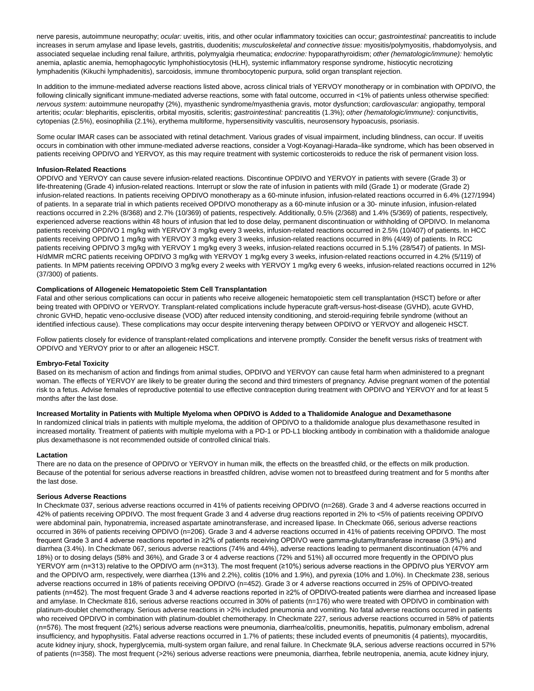nerve paresis, autoimmune neuropathy; ocular: uveitis, iritis, and other ocular inflammatory toxicities can occur; *gastrointestinal:* pancreatitis to include increases in serum amylase and lipase levels, gastritis, duodenitis; musculoskeletal and connective tissue: myositis/polymyositis, rhabdomyolysis, and associated sequelae including renal failure, arthritis, polymyalgia rheumatica; endocrine: hypoparathyroidism; other (hematologic/immune): hemolytic anemia, aplastic anemia, hemophagocytic lymphohistiocytosis (HLH), systemic inflammatory response syndrome, histiocytic necrotizing lymphadenitis (Kikuchi lymphadenitis), sarcoidosis, immune thrombocytopenic purpura, solid organ transplant rejection.

In addition to the immune-mediated adverse reactions listed above, across clinical trials of YERVOY monotherapy or in combination with OPDIVO, the following clinically significant immune-mediated adverse reactions, some with fatal outcome, occurred in <1% of patients unless otherwise specified: nervous system: autoimmune neuropathy (2%), myasthenic syndrome/myasthenia gravis, motor dysfunction; cardiovascular: angiopathy, temporal arteritis; ocular: blepharitis, episcleritis, orbital myositis, scleritis; gastrointestinal: pancreatitis (1.3%); other (hematologic/immune): conjunctivitis, cytopenias (2.5%), eosinophilia (2.1%), erythema multiforme, hypersensitivity vasculitis, neurosensory hypoacusis, psoriasis.

Some ocular IMAR cases can be associated with retinal detachment. Various grades of visual impairment, including blindness, can occur. If uveitis occurs in combination with other immune-mediated adverse reactions, consider a Vogt-Koyanagi-Harada–like syndrome, which has been observed in patients receiving OPDIVO and YERVOY, as this may require treatment with systemic corticosteroids to reduce the risk of permanent vision loss.

## **Infusion-Related Reactions**

OPDIVO and YERVOY can cause severe infusion-related reactions. Discontinue OPDIVO and YERVOY in patients with severe (Grade 3) or life-threatening (Grade 4) infusion-related reactions. Interrupt or slow the rate of infusion in patients with mild (Grade 1) or moderate (Grade 2) infusion-related reactions. In patients receiving OPDIVO monotherapy as a 60-minute infusion, infusion-related reactions occurred in 6.4% (127/1994) of patients. In a separate trial in which patients received OPDIVO monotherapy as a 60-minute infusion or a 30- minute infusion, infusion-related reactions occurred in 2.2% (8/368) and 2.7% (10/369) of patients, respectively. Additionally, 0.5% (2/368) and 1.4% (5/369) of patients, respectively, experienced adverse reactions within 48 hours of infusion that led to dose delay, permanent discontinuation or withholding of OPDIVO. In melanoma patients receiving OPDIVO 1 mg/kg with YERVOY 3 mg/kg every 3 weeks, infusion-related reactions occurred in 2.5% (10/407) of patients. In HCC patients receiving OPDIVO 1 mg/kg with YERVOY 3 mg/kg every 3 weeks, infusion-related reactions occurred in 8% (4/49) of patients. In RCC patients receiving OPDIVO 3 mg/kg with YERVOY 1 mg/kg every 3 weeks, infusion-related reactions occurred in 5.1% (28/547) of patients. In MSI-H/dMMR mCRC patients receiving OPDIVO 3 mg/kg with YERVOY 1 mg/kg every 3 weeks, infusion-related reactions occurred in 4.2% (5/119) of patients. In MPM patients receiving OPDIVO 3 mg/kg every 2 weeks with YERVOY 1 mg/kg every 6 weeks, infusion-related reactions occurred in 12% (37/300) of patients.

#### **Complications of Allogeneic Hematopoietic Stem Cell Transplantation**

Fatal and other serious complications can occur in patients who receive allogeneic hematopoietic stem cell transplantation (HSCT) before or after being treated with OPDIVO or YERVOY. Transplant-related complications include hyperacute graft-versus-host-disease (GVHD), acute GVHD, chronic GVHD, hepatic veno-occlusive disease (VOD) after reduced intensity conditioning, and steroid-requiring febrile syndrome (without an identified infectious cause). These complications may occur despite intervening therapy between OPDIVO or YERVOY and allogeneic HSCT.

Follow patients closely for evidence of transplant-related complications and intervene promptly. Consider the benefit versus risks of treatment with OPDIVO and YERVOY prior to or after an allogeneic HSCT.

#### **Embryo-Fetal Toxicity**

Based on its mechanism of action and findings from animal studies, OPDIVO and YERVOY can cause fetal harm when administered to a pregnant woman. The effects of YERVOY are likely to be greater during the second and third trimesters of pregnancy. Advise pregnant women of the potential risk to a fetus. Advise females of reproductive potential to use effective contraception during treatment with OPDIVO and YERVOY and for at least 5 months after the last dose.

#### **Increased Mortality in Patients with Multiple Myeloma when OPDIVO is Added to a Thalidomide Analogue and Dexamethasone**

In randomized clinical trials in patients with multiple myeloma, the addition of OPDIVO to a thalidomide analogue plus dexamethasone resulted in increased mortality. Treatment of patients with multiple myeloma with a PD-1 or PD-L1 blocking antibody in combination with a thalidomide analogue plus dexamethasone is not recommended outside of controlled clinical trials.

#### **Lactation**

There are no data on the presence of OPDIVO or YERVOY in human milk, the effects on the breastfed child, or the effects on milk production. Because of the potential for serious adverse reactions in breastfed children, advise women not to breastfeed during treatment and for 5 months after the last dose.

#### **Serious Adverse Reactions**

In Checkmate 037, serious adverse reactions occurred in 41% of patients receiving OPDIVO (n=268). Grade 3 and 4 adverse reactions occurred in 42% of patients receiving OPDIVO. The most frequent Grade 3 and 4 adverse drug reactions reported in 2% to <5% of patients receiving OPDIVO were abdominal pain, hyponatremia, increased aspartate aminotransferase, and increased lipase. In Checkmate 066, serious adverse reactions occurred in 36% of patients receiving OPDIVO (n=206). Grade 3 and 4 adverse reactions occurred in 41% of patients receiving OPDIVO. The most frequent Grade 3 and 4 adverse reactions reported in ≥2% of patients receiving OPDIVO were gamma-glutamyltransferase increase (3.9%) and diarrhea (3.4%). In Checkmate 067, serious adverse reactions (74% and 44%), adverse reactions leading to permanent discontinuation (47% and 18%) or to dosing delays (58% and 36%), and Grade 3 or 4 adverse reactions (72% and 51%) all occurred more frequently in the OPDIVO plus YERVOY arm (n=313) relative to the OPDIVO arm (n=313). The most frequent (≥10%) serious adverse reactions in the OPDIVO plus YERVOY arm and the OPDIVO arm, respectively, were diarrhea (13% and 2.2%), colitis (10% and 1.9%), and pyrexia (10% and 1.0%). In Checkmate 238, serious adverse reactions occurred in 18% of patients receiving OPDIVO (n=452). Grade 3 or 4 adverse reactions occurred in 25% of OPDIVO-treated patients (n=452). The most frequent Grade 3 and 4 adverse reactions reported in ≥2% of OPDIVO-treated patients were diarrhea and increased lipase and amylase. In Checkmate 816, serious adverse reactions occurred in 30% of patients (n=176) who were treated with OPDIVO in combination with platinum-doublet chemotherapy. Serious adverse reactions in >2% included pneumonia and vomiting. No fatal adverse reactions occurred in patients who received OPDIVO in combination with platinum-doublet chemotherapy. In Checkmate 227, serious adverse reactions occurred in 58% of patients (n=576). The most frequent (≥2%) serious adverse reactions were pneumonia, diarrhea/colitis, pneumonitis, hepatitis, pulmonary embolism, adrenal insufficiency, and hypophysitis. Fatal adverse reactions occurred in 1.7% of patients; these included events of pneumonitis (4 patients), myocarditis, acute kidney injury, shock, hyperglycemia, multi-system organ failure, and renal failure. In Checkmate 9LA, serious adverse reactions occurred in 57% of patients (n=358). The most frequent (>2%) serious adverse reactions were pneumonia, diarrhea, febrile neutropenia, anemia, acute kidney injury,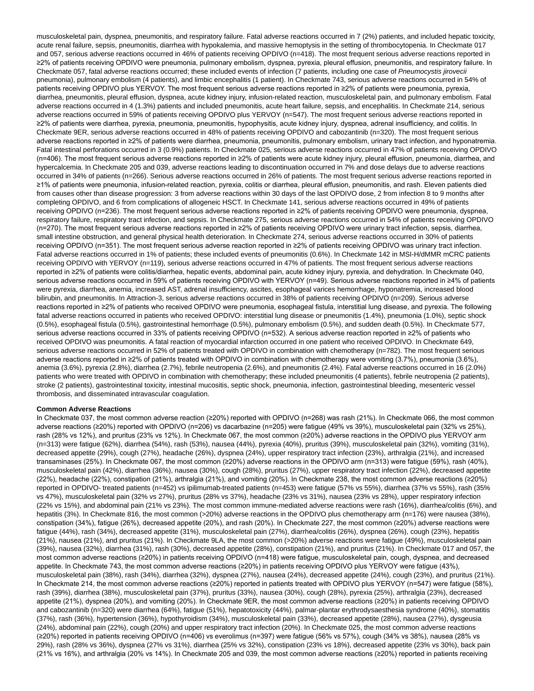musculoskeletal pain, dyspnea, pneumonitis, and respiratory failure. Fatal adverse reactions occurred in 7 (2%) patients, and included hepatic toxicity, acute renal failure, sepsis, pneumonitis, diarrhea with hypokalemia, and massive hemoptysis in the setting of thrombocytopenia. In Checkmate 017 and 057, serious adverse reactions occurred in 46% of patients receiving OPDIVO (n=418). The most frequent serious adverse reactions reported in ≥2% of patients receiving OPDIVO were pneumonia, pulmonary embolism, dyspnea, pyrexia, pleural effusion, pneumonitis, and respiratory failure. In Checkmate 057, fatal adverse reactions occurred; these included events of infection (7 patients, including one case of Pneumocystis jirovecii pneumonia), pulmonary embolism (4 patients), and limbic encephalitis (1 patient). In Checkmate 743, serious adverse reactions occurred in 54% of patients receiving OPDIVO plus YERVOY. The most frequent serious adverse reactions reported in ≥2% of patients were pneumonia, pyrexia, diarrhea, pneumonitis, pleural effusion, dyspnea, acute kidney injury, infusion-related reaction, musculoskeletal pain, and pulmonary embolism. Fatal adverse reactions occurred in 4 (1.3%) patients and included pneumonitis, acute heart failure, sepsis, and encephalitis. In Checkmate 214, serious adverse reactions occurred in 59% of patients receiving OPDIVO plus YERVOY (n=547). The most frequent serious adverse reactions reported in ≥2% of patients were diarrhea, pyrexia, pneumonia, pneumonitis, hypophysitis, acute kidney injury, dyspnea, adrenal insufficiency, and colitis. In Checkmate 9ER, serious adverse reactions occurred in 48% of patients receiving OPDIVO and cabozantinib (n=320). The most frequent serious adverse reactions reported in ≥2% of patients were diarrhea, pneumonia, pneumonitis, pulmonary embolism, urinary tract infection, and hyponatremia. Fatal intestinal perforations occurred in 3 (0.9%) patients. In Checkmate 025, serious adverse reactions occurred in 47% of patients receiving OPDIVO (n=406). The most frequent serious adverse reactions reported in ≥2% of patients were acute kidney injury, pleural effusion, pneumonia, diarrhea, and hypercalcemia. In Checkmate 205 and 039, adverse reactions leading to discontinuation occurred in 7% and dose delays due to adverse reactions occurred in 34% of patients (n=266). Serious adverse reactions occurred in 26% of patients. The most frequent serious adverse reactions reported in ≥1% of patients were pneumonia, infusion-related reaction, pyrexia, colitis or diarrhea, pleural effusion, pneumonitis, and rash. Eleven patients died from causes other than disease progression: 3 from adverse reactions within 30 days of the last OPDIVO dose, 2 from infection 8 to 9 months after completing OPDIVO, and 6 from complications of allogeneic HSCT. In Checkmate 141, serious adverse reactions occurred in 49% of patients receiving OPDIVO (n=236). The most frequent serious adverse reactions reported in ≥2% of patients receiving OPDIVO were pneumonia, dyspnea, respiratory failure, respiratory tract infection, and sepsis. In Checkmate 275, serious adverse reactions occurred in 54% of patients receiving OPDIVO (n=270). The most frequent serious adverse reactions reported in ≥2% of patients receiving OPDIVO were urinary tract infection, sepsis, diarrhea, small intestine obstruction, and general physical health deterioration. In Checkmate 274, serious adverse reactions occurred in 30% of patients receiving OPDIVO (n=351). The most frequent serious adverse reaction reported in ≥2% of patients receiving OPDIVO was urinary tract infection. Fatal adverse reactions occurred in 1% of patients; these included events of pneumonitis (0.6%). In Checkmate 142 in MSI-H/dMMR mCRC patients receiving OPDIVO with YERVOY (n=119), serious adverse reactions occurred in 47% of patients. The most frequent serious adverse reactions reported in ≥2% of patients were colitis/diarrhea, hepatic events, abdominal pain, acute kidney injury, pyrexia, and dehydration. In Checkmate 040, serious adverse reactions occurred in 59% of patients receiving OPDIVO with YERVOY (n=49). Serious adverse reactions reported in ≥4% of patients were pyrexia, diarrhea, anemia, increased AST, adrenal insufficiency, ascites, esophageal varices hemorrhage, hyponatremia, increased blood bilirubin, and pneumonitis. In Attraction-3, serious adverse reactions occurred in 38% of patients receiving OPDIVO (n=209). Serious adverse reactions reported in ≥2% of patients who received OPDIVO were pneumonia, esophageal fistula, interstitial lung disease, and pyrexia. The following fatal adverse reactions occurred in patients who received OPDIVO: interstitial lung disease or pneumonitis (1.4%), pneumonia (1.0%), septic shock (0.5%), esophageal fistula (0.5%), gastrointestinal hemorrhage (0.5%), pulmonary embolism (0.5%), and sudden death (0.5%). In Checkmate 577, serious adverse reactions occurred in 33% of patients receiving OPDIVO (n=532). A serious adverse reaction reported in ≥2% of patients who received OPDIVO was pneumonitis. A fatal reaction of myocardial infarction occurred in one patient who received OPDIVO. In Checkmate 649, serious adverse reactions occurred in 52% of patients treated with OPDIVO in combination with chemotherapy (n=782). The most frequent serious adverse reactions reported in ≥2% of patients treated with OPDIVO in combination with chemotherapy were vomiting (3.7%), pneumonia (3.6%), anemia (3.6%), pyrexia (2.8%), diarrhea (2.7%), febrile neutropenia (2.6%), and pneumonitis (2.4%). Fatal adverse reactions occurred in 16 (2.0%) patients who were treated with OPDIVO in combination with chemotherapy; these included pneumonitis (4 patients), febrile neutropenia (2 patients), stroke (2 patients), gastrointestinal toxicity, intestinal mucositis, septic shock, pneumonia, infection, gastrointestinal bleeding, mesenteric vessel thrombosis, and disseminated intravascular coagulation.

## **Common Adverse Reactions**

In Checkmate 037, the most common adverse reaction (≥20%) reported with OPDIVO (n=268) was rash (21%). In Checkmate 066, the most common adverse reactions (≥20%) reported with OPDIVO (n=206) vs dacarbazine (n=205) were fatigue (49% vs 39%), musculoskeletal pain (32% vs 25%), rash (28% vs 12%), and pruritus (23% vs 12%). In Checkmate 067, the most common (≥20%) adverse reactions in the OPDIVO plus YERVOY arm (n=313) were fatigue (62%), diarrhea (54%), rash (53%), nausea (44%), pyrexia (40%), pruritus (39%), musculoskeletal pain (32%), vomiting (31%), decreased appetite (29%), cough (27%), headache (26%), dyspnea (24%), upper respiratory tract infection (23%), arthralgia (21%), and increased transaminases (25%). In Checkmate 067, the most common (≥20%) adverse reactions in the OPDIVO arm (n=313) were fatigue (59%), rash (40%), musculoskeletal pain (42%), diarrhea (36%), nausea (30%), cough (28%), pruritus (27%), upper respiratory tract infection (22%), decreased appetite (22%), headache (22%), constipation (21%), arthralgia (21%), and vomiting (20%). In Checkmate 238, the most common adverse reactions (≥20%) reported in OPDIVO- treated patients (n=452) vs ipilimumab-treated patients (n=453) were fatigue (57% vs 55%), diarrhea (37% vs 55%), rash (35% vs 47%), musculoskeletal pain (32% vs 27%), pruritus (28% vs 37%), headache (23% vs 31%), nausea (23% vs 28%), upper respiratory infection (22% vs 15%), and abdominal pain (21% vs 23%). The most common immune-mediated adverse reactions were rash (16%), diarrhea/colitis (6%), and hepatitis (3%). In Checkmate 816, the most common (>20%) adverse reactions in the OPDIVO plus chemotherapy arm (n=176) were nausea (38%), constipation (34%), fatigue (26%), decreased appetite (20%), and rash (20%). In Checkmate 227, the most common (≥20%) adverse reactions were fatigue (44%), rash (34%), decreased appetite (31%), musculoskeletal pain (27%), diarrhea/colitis (26%), dyspnea (26%), cough (23%), hepatitis (21%), nausea (21%), and pruritus (21%). In Checkmate 9LA, the most common (>20%) adverse reactions were fatigue (49%), musculoskeletal pain (39%), nausea (32%), diarrhea (31%), rash (30%), decreased appetite (28%), constipation (21%), and pruritus (21%). In Checkmate 017 and 057, the most common adverse reactions (≥20%) in patients receiving OPDIVO (n=418) were fatigue, musculoskeletal pain, cough, dyspnea, and decreased appetite. In Checkmate 743, the most common adverse reactions (≥20%) in patients receiving OPDIVO plus YERVOY were fatigue (43%), musculoskeletal pain (38%), rash (34%), diarrhea (32%), dyspnea (27%), nausea (24%), decreased appetite (24%), cough (23%), and pruritus (21%). In Checkmate 214, the most common adverse reactions (≥20%) reported in patients treated with OPDIVO plus YERVOY (n=547) were fatigue (58%), rash (39%), diarrhea (38%), musculoskeletal pain (37%), pruritus (33%), nausea (30%), cough (28%), pyrexia (25%), arthralgia (23%), decreased appetite (21%), dyspnea (20%), and vomiting (20%). In Checkmate 9ER, the most common adverse reactions (≥20%) in patients receiving OPDIVO and cabozantinib (n=320) were diarrhea (64%), fatigue (51%), hepatotoxicity (44%), palmar-plantar erythrodysaesthesia syndrome (40%), stomatitis (37%), rash (36%), hypertension (36%), hypothyroidism (34%), musculoskeletal pain (33%), decreased appetite (28%), nausea (27%), dysgeusia (24%), abdominal pain (22%), cough (20%) and upper respiratory tract infection (20%). In Checkmate 025, the most common adverse reactions (≥20%) reported in patients receiving OPDIVO (n=406) vs everolimus (n=397) were fatigue (56% vs 57%), cough (34% vs 38%), nausea (28% vs 29%), rash (28% vs 36%), dyspnea (27% vs 31%), diarrhea (25% vs 32%), constipation (23% vs 18%), decreased appetite (23% vs 30%), back pain (21% vs 16%), and arthralgia (20% vs 14%). In Checkmate 205 and 039, the most common adverse reactions (≥20%) reported in patients receiving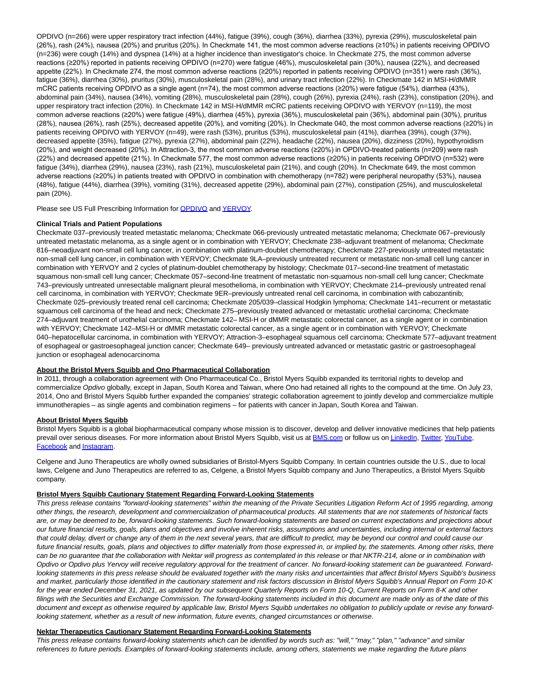OPDIVO (n=266) were upper respiratory tract infection (44%), fatigue (39%), cough (36%), diarrhea (33%), pyrexia (29%), musculoskeletal pain (26%), rash (24%), nausea (20%) and pruritus (20%). In Checkmate 141, the most common adverse reactions (≥10%) in patients receiving OPDIVO (n=236) were cough (14%) and dyspnea (14%) at a higher incidence than investigator's choice. In Checkmate 275, the most common adverse reactions (≥20%) reported in patients receiving OPDIVO (n=270) were fatigue (46%), musculoskeletal pain (30%), nausea (22%), and decreased appetite (22%). In Checkmate 274, the most common adverse reactions (≥20%) reported in patients receiving OPDIVO (n=351) were rash (36%), fatigue (36%), diarrhea (30%), pruritus (30%), musculoskeletal pain (28%), and urinary tract infection (22%). In Checkmate 142 in MSI-H/dMMR mCRC patients receiving OPDIVO as a single agent (n=74), the most common adverse reactions (≥20%) were fatigue (54%), diarrhea (43%), abdominal pain (34%), nausea (34%), vomiting (28%), musculoskeletal pain (28%), cough (26%), pyrexia (24%), rash (23%), constipation (20%), and upper respiratory tract infection (20%). In Checkmate 142 in MSI-H/dMMR mCRC patients receiving OPDIVO with YERVOY (n=119), the most common adverse reactions (≥20%) were fatigue (49%), diarrhea (45%), pyrexia (36%), musculoskeletal pain (36%), abdominal pain (30%), pruritus (28%), nausea (26%), rash (25%), decreased appetite (20%), and vomiting (20%). In Checkmate 040, the most common adverse reactions (≥20%) in patients receiving OPDIVO with YERVOY (n=49), were rash (53%), pruritus (53%), musculoskeletal pain (41%), diarrhea (39%), cough (37%), decreased appetite (35%), fatigue (27%), pyrexia (27%), abdominal pain (22%), headache (22%), nausea (20%), dizziness (20%), hypothyroidism (20%), and weight decreased (20%). In Attraction-3, the most common adverse reactions (≥20%) in OPDIVO-treated patients (n=209) were rash (22%) and decreased appetite (21%). In Checkmate 577, the most common adverse reactions (≥20%) in patients receiving OPDIVO (n=532) were fatigue (34%), diarrhea (29%), nausea (23%), rash (21%), musculoskeletal pain (21%), and cough (20%). In Checkmate 649, the most common adverse reactions (≥20%) in patients treated with OPDIVO in combination with chemotherapy (n=782) were peripheral neuropathy (53%), nausea (48%), fatigue (44%), diarrhea (39%), vomiting (31%), decreased appetite (29%), abdominal pain (27%), constipation (25%), and musculoskeletal pain (20%).

Please see US Full Prescribing Information for **OPDIVO** and **YERVOY**.

## **Clinical Trials and Patient Populations**

Checkmate 037–previously treated metastatic melanoma; Checkmate 066-previously untreated metastatic melanoma; Checkmate 067–previously untreated metastatic melanoma, as a single agent or in combination with YERVOY; Checkmate 238–adjuvant treatment of melanoma; Checkmate 816–neoadjuvant non-small cell lung cancer, in combination with platinum-doublet chemotherapy; Checkmate 227-previously untreated metastatic non-small cell lung cancer, in combination with YERVOY; Checkmate 9LA–previously untreated recurrent or metastatic non-small cell lung cancer in combination with YERVOY and 2 cycles of platinum-doublet chemotherapy by histology; Checkmate 017–second-line treatment of metastatic squamous non-small cell lung cancer; Checkmate 057–second-line treatment of metastatic non-squamous non-small cell lung cancer; Checkmate 743–previously untreated unresectable malignant pleural mesothelioma, in combination with YERVOY; Checkmate 214–previously untreated renal cell carcinoma, in combination with YERVOY; Checkmate 9ER–previously untreated renal cell carcinoma, in combination with cabozantinib; Checkmate 025–previously treated renal cell carcinoma; Checkmate 205/039–classical Hodgkin lymphoma; Checkmate 141–recurrent or metastatic squamous cell carcinoma of the head and neck; Checkmate 275–previously treated advanced or metastatic urothelial carcinoma; Checkmate 274–adjuvant treatment of urothelial carcinoma; Checkmate 142– MSI-H or dMMR metastatic colorectal cancer, as a single agent or in combination with YERVOY; Checkmate 142–MSI-H or dMMR metastatic colorectal cancer, as a single agent or in combination with YERVOY; Checkmate 040–hepatocellular carcinoma, in combination with YERVOY; Attraction-3–esophageal squamous cell carcinoma; Checkmate 577–adjuvant treatment of esophageal or gastroesophageal junction cancer; Checkmate 649– previously untreated advanced or metastatic gastric or gastroesophageal junction or esophageal adenocarcinoma

## **About the Bristol Myers Squibb and Ono Pharmaceutical Collaboration**

In 2011, through a collaboration agreement with Ono Pharmaceutical Co., Bristol Myers Squibb expanded its territorial rights to develop and commercialize Opdivo globally, except in Japan, South Korea and Taiwan, where Ono had retained all rights to the compound at the time. On July 23, 2014, Ono and Bristol Myers Squibb further expanded the companies' strategic collaboration agreement to jointly develop and commercialize multiple immunotherapies – as single agents and combination regimens – for patients with cancer in Japan, South Korea and Taiwan.

### **About Bristol Myers Squibb**

Bristol Myers Squibb is a global biopharmaceutical company whose mission is to discover, develop and deliver innovative medicines that help patients prevail over serious diseases. For more information about Bristol Myers Squibb, visit us at **BMS.com** or follow us o[n LinkedIn,](https://c212.net/c/link/?t=0&l=en&o=3506143-1&h=2203342669&u=https%3A%2F%2Fwww.linkedin.com%2Fcompany%2Fbristol-myers-squibb&a=LinkedIn) [Twitter,](https://c212.net/c/link/?t=0&l=en&o=3506143-1&h=920041524&u=http%3A%2F%2Ftwitter.com%2Fbmsnews&a=Twitter) [YouTube,](https://c212.net/c/link/?t=0&l=en&o=3506143-1&h=3959277341&u=https%3A%2F%2Fwww.youtube.com%2Fchannel%2FUCjFf4oKibYrHae2NZ_GPS6g&a=YouTube) [Facebook a](https://c212.net/c/link/?t=0&l=en&o=3506143-1&h=1512814339&u=http%3A%2F%2Fwww.facebook.com%2FBristolMyersSquibb&a=Facebook)n[d Instagram.](https://c212.net/c/link/?t=0&l=en&o=3506143-1&h=203056308&u=https%3A%2F%2Fwww.instagram.com%2Fbristolmyerssquibb%2F&a=Instagram)

Celgene and Juno Therapeutics are wholly owned subsidiaries of Bristol-Myers Squibb Company. In certain countries outside the U.S., due to local laws, Celgene and Juno Therapeutics are referred to as, Celgene, a Bristol Myers Squibb company and Juno Therapeutics, a Bristol Myers Squibb company.

#### **Bristol Myers Squibb Cautionary Statement Regarding Forward-Looking Statements**

This press release contains "forward-looking statements" within the meaning of the Private Securities Litigation Reform Act of 1995 regarding, among other things, the research, development and commercialization of pharmaceutical products. All statements that are not statements of historical facts are, or may be deemed to be, forward-looking statements. Such forward-looking statements are based on current expectations and projections about our future financial results, goals, plans and objectives and involve inherent risks, assumptions and uncertainties, including internal or external factors that could delay, divert or change any of them in the next several years, that are difficult to predict, may be beyond our control and could cause our future financial results, goals, plans and objectives to differ materially from those expressed in, or implied by, the statements. Among other risks, there can be no guarantee that the collaboration with Nektar will progress as contemplated in this release or that NKTR-214, alone or in combination with Opdivo or Opdivo plus Yervoy will receive regulatory approval for the treatment of cancer. No forward-looking statement can be guaranteed. Forwardlooking statements in this press release should be evaluated together with the many risks and uncertainties that affect Bristol Myers Squibb's business and market, particularly those identified in the cautionary statement and risk factors discussion in Bristol Myers Squibb's Annual Report on Form 10-K for the year ended December 31, 2021, as updated by our subsequent Quarterly Reports on Form 10-Q, Current Reports on Form 8-K and other filings with the Securities and Exchange Commission. The forward-looking statements included in this document are made only as of the date of this document and except as otherwise required by applicable law, Bristol Myers Squibb undertakes no obligation to publicly update or revise any forwardlooking statement, whether as a result of new information, future events, changed circumstances or otherwise.

## **Nektar Therapeutics Cautionary Statement Regarding Forward-Looking Statements**

This press release contains forward-looking statements which can be identified by words such as: "will," "may," "plan," "advance" and similar references to future periods. Examples of forward-looking statements include, among others, statements we make regarding the future plans